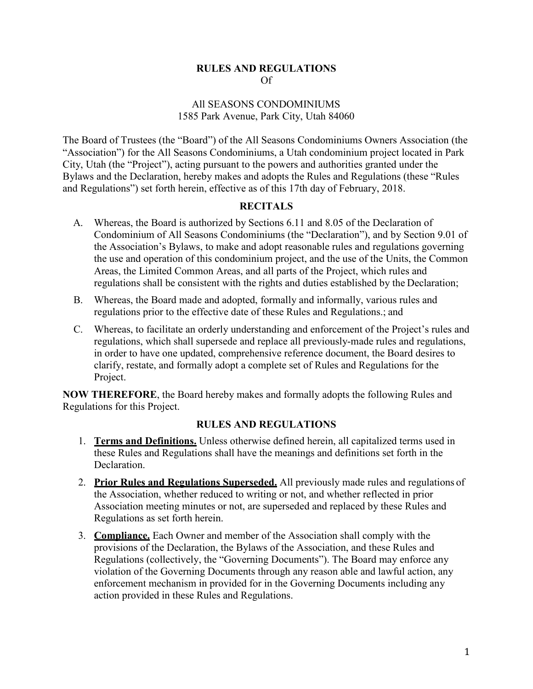## **RULES AND REGULATIONS** Of

## All SEASONS CONDOMINIUMS 1585 Park Avenue, Park City, Utah 84060

The Board of Trustees (the "Board") of the All Seasons Condominiums Owners Association (the "Association") for the All Seasons Condominiums, a Utah condominium project located in Park City, Utah (the "Project"), acting pursuant to the powers and authorities granted under the Bylaws and the Declaration, hereby makes and adopts the Rules and Regulations (these "Rules and Regulations") set forth herein, effective as of this 17th day of February, 2018.

## **RECITALS**

- A. Whereas, the Board is authorized by Sections 6.11 and 8.05 of the Declaration of Condominium of All Seasons Condominiums (the "Declaration"), and by Section 9.01 of the Association's Bylaws, to make and adopt reasonable rules and regulations governing the use and operation of this condominium project, and the use of the Units, the Common Areas, the Limited Common Areas, and all parts of the Project, which rules and regulations shall be consistent with the rights and duties established by the Declaration;
- B. Whereas, the Board made and adopted, formally and informally, various rules and regulations prior to the effective date of these Rules and Regulations.; and
- C. Whereas, to facilitate an orderly understanding and enforcement of the Project's rules and regulations, which shall supersede and replace all previously-made rules and regulations, in order to have one updated, comprehensive reference document, the Board desires to clarify, restate, and formally adopt a complete set of Rules and Regulations for the Project.

**NOW THEREFORE**, the Board hereby makes and formally adopts the following Rules and Regulations for this Project.

## **RULES AND REGULATIONS**

- 1. **Terms and Definitions.** Unless otherwise defined herein, all capitalized terms used in these Rules and Regulations shall have the meanings and definitions set forth in the Declaration.
- 2. **Prior Rules and Regulations Superseded.** All previously made rules and regulations of the Association, whether reduced to writing or not, and whether reflected in prior Association meeting minutes or not, are superseded and replaced by these Rules and Regulations as set forth herein.
- 3. **Compliance.** Each Owner and member of the Association shall comply with the provisions of the Declaration, the Bylaws of the Association, and these Rules and Regulations (collectively, the "Governing Documents"). The Board may enforce any violation of the Governing Documents through any reason able and lawful action, any enforcement mechanism in provided for in the Governing Documents including any action provided in these Rules and Regulations.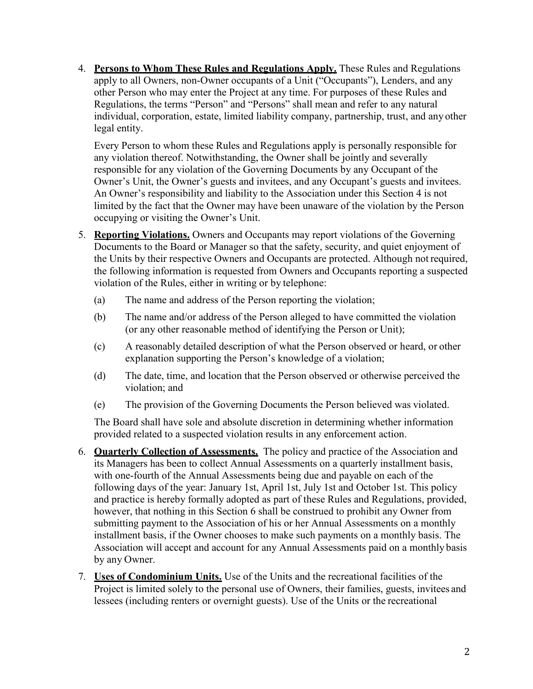4. **Persons to Whom These Rules and Regulations Apply.** These Rules and Regulations apply to all Owners, non-Owner occupants of a Unit ("Occupants"), Lenders, and any other Person who may enter the Project at any time. For purposes of these Rules and Regulations, the terms "Person" and "Persons" shall mean and refer to any natural individual, corporation, estate, limited liability company, partnership, trust, and any other legal entity.

Every Person to whom these Rules and Regulations apply is personally responsible for any violation thereof. Notwithstanding, the Owner shall be jointly and severally responsible for any violation of the Governing Documents by any Occupant of the Owner's Unit, the Owner's guests and invitees, and any Occupant's guests and invitees. An Owner's responsibility and liability to the Association under this Section 4 is not limited by the fact that the Owner may have been unaware of the violation by the Person occupying or visiting the Owner's Unit.

- 5. **Reporting Violations.** Owners and Occupants may report violations of the Governing Documents to the Board or Manager so that the safety, security, and quiet enjoyment of the Units by their respective Owners and Occupants are protected. Although not required, the following information is requested from Owners and Occupants reporting a suspected violation of the Rules, either in writing or by telephone:
	- (a) The name and address of the Person reporting the violation;
	- (b) The name and/or address of the Person alleged to have committed the violation (or any other reasonable method of identifying the Person or Unit);
	- (c) A reasonably detailed description of what the Person observed or heard, or other explanation supporting the Person's knowledge of a violation;
	- (d) The date, time, and location that the Person observed or otherwise perceived the violation; and
	- (e) The provision of the Governing Documents the Person believed was violated.

The Board shall have sole and absolute discretion in determining whether information provided related to a suspected violation results in any enforcement action.

- 6. **Quarterly Collection of Assessments.** The policy and practice of the Association and its Managers has been to collect Annual Assessments on a quarterly installment basis, with one-fourth of the Annual Assessments being due and payable on each of the following days of the year: January 1st, April 1st, July 1st and October 1st. This policy and practice is hereby formally adopted as part of these Rules and Regulations, provided, however, that nothing in this Section 6 shall be construed to prohibit any Owner from submitting payment to the Association of his or her Annual Assessments on a monthly installment basis, if the Owner chooses to make such payments on a monthly basis. The Association will accept and account for any Annual Assessments paid on a monthly basis by any Owner.
- 7. **Uses of Condominium Units.** Use of the Units and the recreational facilities of the Project is limited solely to the personal use of Owners, their families, guests, invitees and lessees (including renters or overnight guests). Use of the Units or the recreational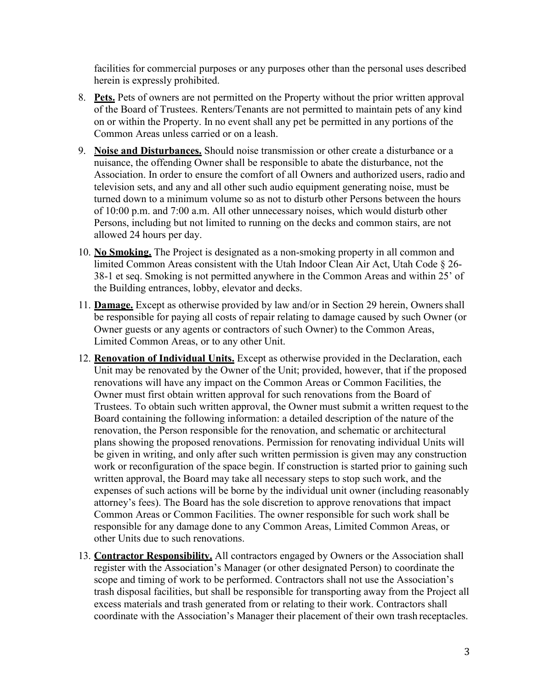facilities for commercial purposes or any purposes other than the personal uses described herein is expressly prohibited.

- 8. **Pets.** Pets of owners are not permitted on the Property without the prior written approval of the Board of Trustees. Renters/Tenants are not permitted to maintain pets of any kind on or within the Property. In no event shall any pet be permitted in any portions of the Common Areas unless carried or on a leash.
- 9. **Noise and Disturbances.** Should noise transmission or other create a disturbance or a nuisance, the offending Owner shall be responsible to abate the disturbance, not the Association. In order to ensure the comfort of all Owners and authorized users, radio and television sets, and any and all other such audio equipment generating noise, must be turned down to a minimum volume so as not to disturb other Persons between the hours of 10:00 p.m. and 7:00 a.m. All other unnecessary noises, which would disturb other Persons, including but not limited to running on the decks and common stairs, are not allowed 24 hours per day.
- 10. **No Smoking.** The Project is designated as a non-smoking property in all common and limited Common Areas consistent with the Utah Indoor Clean Air Act, Utah Code § 26- 38-1 et seq. Smoking is not permitted anywhere in the Common Areas and within 25' of the Building entrances, lobby, elevator and decks.
- 11. **Damage.** Except as otherwise provided by law and/or in Section 29 herein, Ownersshall be responsible for paying all costs of repair relating to damage caused by such Owner (or Owner guests or any agents or contractors of such Owner) to the Common Areas, Limited Common Areas, or to any other Unit.
- 12. **Renovation of Individual Units.** Except as otherwise provided in the Declaration, each Unit may be renovated by the Owner of the Unit; provided, however, that if the proposed renovations will have any impact on the Common Areas or Common Facilities, the Owner must first obtain written approval for such renovations from the Board of Trustees. To obtain such written approval, the Owner must submit a written request to the Board containing the following information: a detailed description of the nature of the renovation, the Person responsible for the renovation, and schematic or architectural plans showing the proposed renovations. Permission for renovating individual Units will be given in writing, and only after such written permission is given may any construction work or reconfiguration of the space begin. If construction is started prior to gaining such written approval, the Board may take all necessary steps to stop such work, and the expenses of such actions will be borne by the individual unit owner (including reasonably attorney's fees). The Board has the sole discretion to approve renovations that impact Common Areas or Common Facilities. The owner responsible for such work shall be responsible for any damage done to any Common Areas, Limited Common Areas, or other Units due to such renovations.
- 13. **Contractor Responsibility.** All contractors engaged by Owners or the Association shall register with the Association's Manager (or other designated Person) to coordinate the scope and timing of work to be performed. Contractors shall not use the Association's trash disposal facilities, but shall be responsible for transporting away from the Project all excess materials and trash generated from or relating to their work. Contractors shall coordinate with the Association's Manager their placement of their own trash receptacles.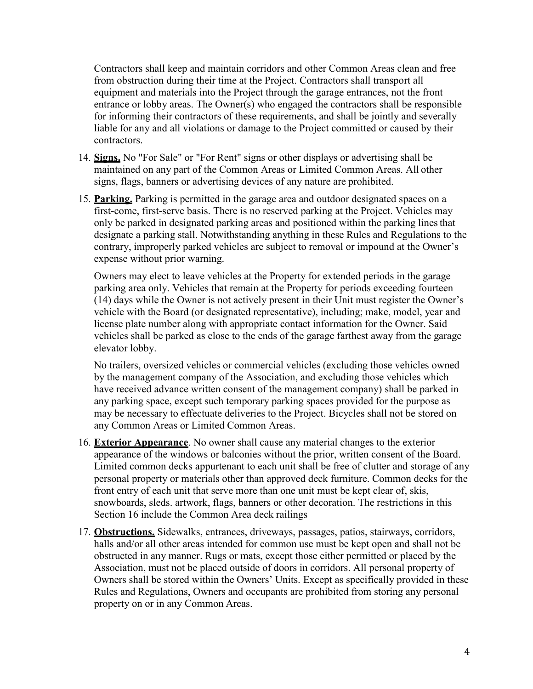Contractors shall keep and maintain corridors and other Common Areas clean and free from obstruction during their time at the Project. Contractors shall transport all equipment and materials into the Project through the garage entrances, not the front entrance or lobby areas. The Owner(s) who engaged the contractors shall be responsible for informing their contractors of these requirements, and shall be jointly and severally liable for any and all violations or damage to the Project committed or caused by their contractors.

- 14. **Signs.** No "For Sale" or "For Rent" signs or other displays or advertising shall be maintained on any part of the Common Areas or Limited Common Areas. All other signs, flags, banners or advertising devices of any nature are prohibited.
- 15. **Parking.** Parking is permitted in the garage area and outdoor designated spaces on a first-come, first-serve basis. There is no reserved parking at the Project. Vehicles may only be parked in designated parking areas and positioned within the parking lines that designate a parking stall. Notwithstanding anything in these Rules and Regulations to the contrary, improperly parked vehicles are subject to removal or impound at the Owner's expense without prior warning.

Owners may elect to leave vehicles at the Property for extended periods in the garage parking area only. Vehicles that remain at the Property for periods exceeding fourteen (14) days while the Owner is not actively present in their Unit must register the Owner's vehicle with the Board (or designated representative), including; make, model, year and license plate number along with appropriate contact information for the Owner. Said vehicles shall be parked as close to the ends of the garage farthest away from the garage elevator lobby.

No trailers, oversized vehicles or commercial vehicles (excluding those vehicles owned by the management company of the Association, and excluding those vehicles which have received advance written consent of the management company) shall be parked in any parking space, except such temporary parking spaces provided for the purpose as may be necessary to effectuate deliveries to the Project. Bicycles shall not be stored on any Common Areas or Limited Common Areas.

- 16. **Exterior Appearance**. No owner shall cause any material changes to the exterior appearance of the windows or balconies without the prior, written consent of the Board. Limited common decks appurtenant to each unit shall be free of clutter and storage of any personal property or materials other than approved deck furniture. Common decks for the front entry of each unit that serve more than one unit must be kept clear of, skis, snowboards, sleds. artwork, flags, banners or other decoration. The restrictions in this Section 16 include the Common Area deck railings
- 17. **Obstructions.** Sidewalks, entrances, driveways, passages, patios, stairways, corridors, halls and/or all other areas intended for common use must be kept open and shall not be obstructed in any manner. Rugs or mats, except those either permitted or placed by the Association, must not be placed outside of doors in corridors. All personal property of Owners shall be stored within the Owners' Units. Except as specifically provided in these Rules and Regulations, Owners and occupants are prohibited from storing any personal property on or in any Common Areas.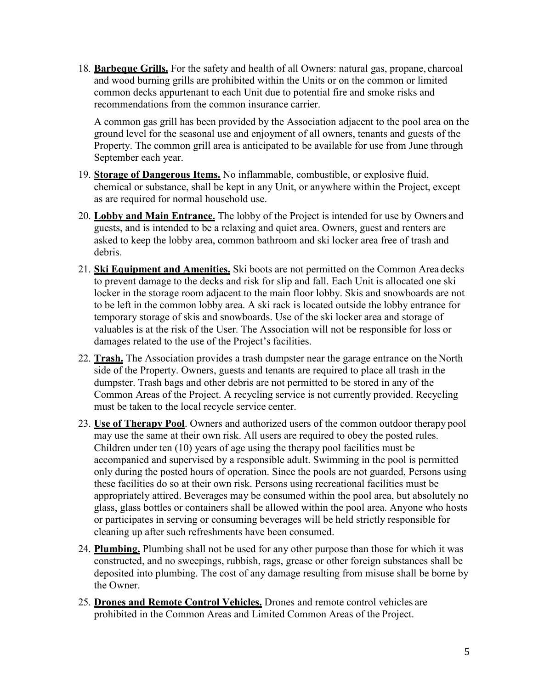18. **Barbeque Grills.** For the safety and health of all Owners: natural gas, propane, charcoal and wood burning grills are prohibited within the Units or on the common or limited common decks appurtenant to each Unit due to potential fire and smoke risks and recommendations from the common insurance carrier.

A common gas grill has been provided by the Association adjacent to the pool area on the ground level for the seasonal use and enjoyment of all owners, tenants and guests of the Property. The common grill area is anticipated to be available for use from June through September each year.

- 19. **Storage of Dangerous Items.** No inflammable, combustible, or explosive fluid, chemical or substance, shall be kept in any Unit, or anywhere within the Project, except as are required for normal household use.
- 20. **Lobby and Main Entrance.** The lobby of the Project is intended for use by Owners and guests, and is intended to be a relaxing and quiet area. Owners, guest and renters are asked to keep the lobby area, common bathroom and ski locker area free of trash and debris.
- 21. **Ski Equipment and Amenities.** Ski boots are not permitted on the Common Area decks to prevent damage to the decks and risk for slip and fall. Each Unit is allocated one ski locker in the storage room adjacent to the main floor lobby. Skis and snowboards are not to be left in the common lobby area. A ski rack is located outside the lobby entrance for temporary storage of skis and snowboards. Use of the ski locker area and storage of valuables is at the risk of the User. The Association will not be responsible for loss or damages related to the use of the Project's facilities.
- 22. **Trash.** The Association provides a trash dumpster near the garage entrance on the North side of the Property. Owners, guests and tenants are required to place all trash in the dumpster. Trash bags and other debris are not permitted to be stored in any of the Common Areas of the Project. A recycling service is not currently provided. Recycling must be taken to the local recycle service center.
- 23. **Use of Therapy Pool**. Owners and authorized users of the common outdoor therapy pool may use the same at their own risk. All users are required to obey the posted rules. Children under ten (10) years of age using the therapy pool facilities must be accompanied and supervised by a responsible adult. Swimming in the pool is permitted only during the posted hours of operation. Since the pools are not guarded, Persons using these facilities do so at their own risk. Persons using recreational facilities must be appropriately attired. Beverages may be consumed within the pool area, but absolutely no glass, glass bottles or containers shall be allowed within the pool area. Anyone who hosts or participates in serving or consuming beverages will be held strictly responsible for cleaning up after such refreshments have been consumed.
- 24. **Plumbing.** Plumbing shall not be used for any other purpose than those for which it was constructed, and no sweepings, rubbish, rags, grease or other foreign substances shall be deposited into plumbing. The cost of any damage resulting from misuse shall be borne by the Owner.
- 25. **Drones and Remote Control Vehicles.** Drones and remote control vehicles are prohibited in the Common Areas and Limited Common Areas of the Project.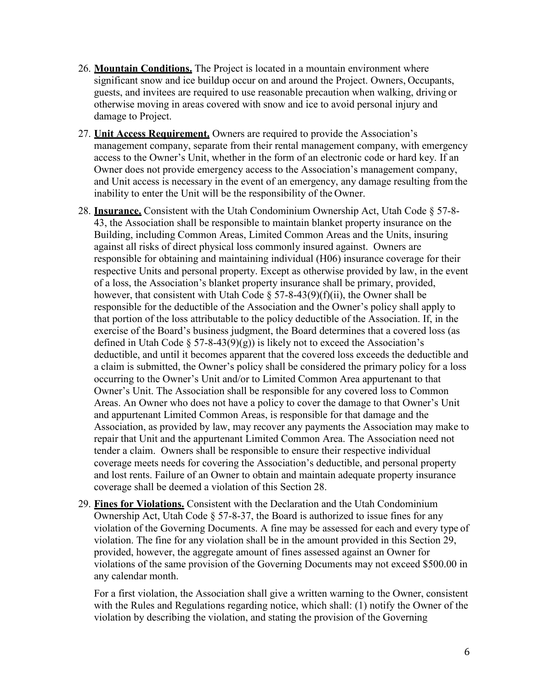- 26. **Mountain Conditions.** The Project is located in a mountain environment where significant snow and ice buildup occur on and around the Project. Owners, Occupants, guests, and invitees are required to use reasonable precaution when walking, driving or otherwise moving in areas covered with snow and ice to avoid personal injury and damage to Project.
- 27. **Unit Access Requirement.** Owners are required to provide the Association's management company, separate from their rental management company, with emergency access to the Owner's Unit, whether in the form of an electronic code or hard key. If an Owner does not provide emergency access to the Association's management company, and Unit access is necessary in the event of an emergency, any damage resulting from the inability to enter the Unit will be the responsibility of the Owner.
- 28. **Insurance.** Consistent with the Utah Condominium Ownership Act, Utah Code § 57-8- 43, the Association shall be responsible to maintain blanket property insurance on the Building, including Common Areas, Limited Common Areas and the Units, insuring against all risks of direct physical loss commonly insured against. Owners are responsible for obtaining and maintaining individual (H06) insurance coverage for their respective Units and personal property. Except as otherwise provided by law, in the event of a loss, the Association's blanket property insurance shall be primary, provided, however, that consistent with Utah Code  $\S 57-8-43(9)(f)(ii)$ , the Owner shall be responsible for the deductible of the Association and the Owner's policy shall apply to that portion of the loss attributable to the policy deductible of the Association. If, in the exercise of the Board's business judgment, the Board determines that a covered loss (as defined in Utah Code  $\S 57-8-43(9)(g)$  is likely not to exceed the Association's deductible, and until it becomes apparent that the covered loss exceeds the deductible and a claim is submitted, the Owner's policy shall be considered the primary policy for a loss occurring to the Owner's Unit and/or to Limited Common Area appurtenant to that Owner's Unit. The Association shall be responsible for any covered loss to Common Areas. An Owner who does not have a policy to cover the damage to that Owner's Unit and appurtenant Limited Common Areas, is responsible for that damage and the Association, as provided by law, may recover any payments the Association may make to repair that Unit and the appurtenant Limited Common Area. The Association need not tender a claim. Owners shall be responsible to ensure their respective individual coverage meets needs for covering the Association's deductible, and personal property and lost rents. Failure of an Owner to obtain and maintain adequate property insurance coverage shall be deemed a violation of this Section 28.
- 29. **Fines for Violations.** Consistent with the Declaration and the Utah Condominium Ownership Act, Utah Code § 57-8-37, the Board is authorized to issue fines for any violation of the Governing Documents. A fine may be assessed for each and every type of violation. The fine for any violation shall be in the amount provided in this Section 29, provided, however, the aggregate amount of fines assessed against an Owner for violations of the same provision of the Governing Documents may not exceed \$500.00 in any calendar month.

For a first violation, the Association shall give a written warning to the Owner, consistent with the Rules and Regulations regarding notice, which shall: (1) notify the Owner of the violation by describing the violation, and stating the provision of the Governing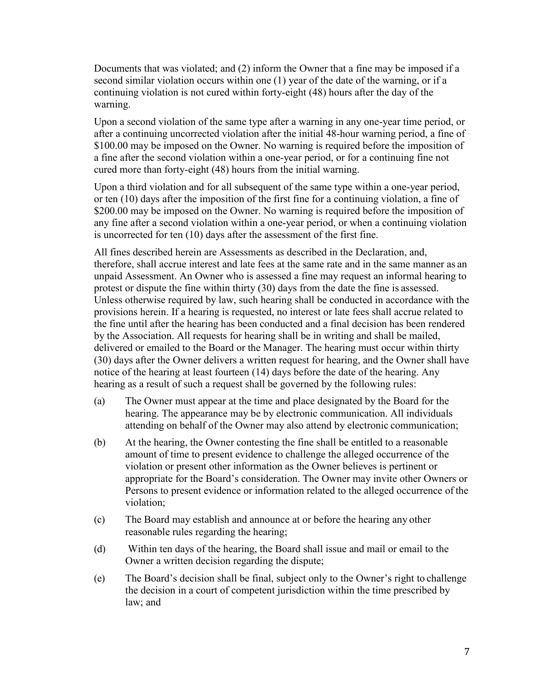Documents that was violated; and (2) inform the Owner that a fine may be imposed if a second similar violation occurs within one (1) year of the date of the warning, or if a continuing violation is not cured within forty-eight (48) hours after the day of the warning.

Upon a second violation of the same type after a warning in any one-year time period, or after a continuing uncorrected violation after the initial 48-hour warning period, a fine of \$100.00 may be imposed on the Owner. No warning is required before the imposition of a fine after the second violation within a one-year period, or for a continuing fine not cured more than forty-eight (48) hours from the initial warning.

Upon a third violation and for all subsequent of the same type within a one-year period, or ten (10) days after the imposition of the first fine for a continuing violation, a fine of \$200.00 may be imposed on the Owner. No warning is required before the imposition of any fine after a second violation within a one-year period, or when a continuing violation is uncorrected for ten (10) days after the assessment of the first fine.

All fines described herein are Assessments as described in the Declaration, and, therefore, shall accrue interest and late fees at the same rate and in the same manner as an unpaid Assessment. An Owner who is assessed a fine may request an informal hearing to protest or dispute the fine within thirty (30) days from the date the fine is assessed. Unless otherwise required by law, such hearing shall be conducted in accordance with the provisions herein. If a hearing is requested, no interest or late fees shall accrue related to the fine until after the hearing has been conducted and a final decision has been rendered by the Association. All requests for hearing shall be in writing and shall be mailed, delivered or emailed to the Board or the Manager. The hearing must occur within thirty (30) days after the Owner delivers a written request for hearing, and the Owner shall have notice of the hearing at least fourteen (14) days before the date of the hearing. Any hearing as a result of such a request shall be governed by the following rules:

- (a) The Owner must appear at the time and place designated by the Board for the hearing. The appearance may be by electronic communication. All individuals attending on behalf of the Owner may also attend by electronic communication;
- (b) At the hearing, the Owner contesting the fine shall be entitled to a reasonable amount of time to present evidence to challenge the alleged occurrence of the violation or present other information as the Owner believes is pertinent or appropriate for the Board's consideration. The Owner may invite other Owners or Persons to present evidence or information related to the alleged occurrence of the violation;
- (c) The Board may establish and announce at or before the hearing any other reasonable rules regarding the hearing;
- (d) Within ten days of the hearing, the Board shall issue and mail or email to the Owner a written decision regarding the dispute;
- (e) The Board's decision shall be final, subject only to the Owner's right to challenge the decision in a court of competent jurisdiction within the time prescribed by law; and